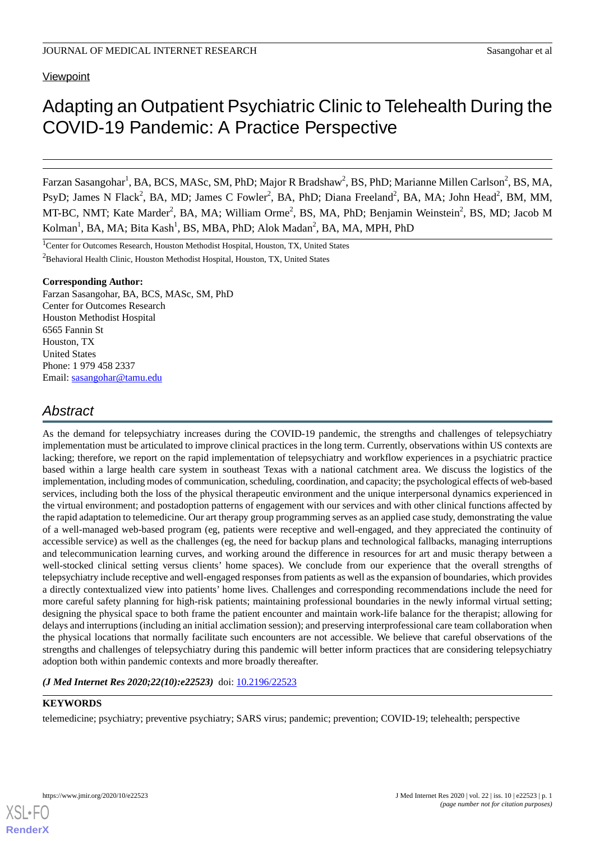# **Viewpoint**

# Adapting an Outpatient Psychiatric Clinic to Telehealth During the COVID-19 Pandemic: A Practice Perspective

Farzan Sasangohar<sup>1</sup>, BA, BCS, MASc, SM, PhD; Major R Bradshaw<sup>2</sup>, BS, PhD; Marianne Millen Carlson<sup>2</sup>, BS, MA, PsyD; James N Flack<sup>2</sup>, BA, MD; James C Fowler<sup>2</sup>, BA, PhD; Diana Freeland<sup>2</sup>, BA, MA; John Head<sup>2</sup>, BM, MM, MT-BC, NMT; Kate Marder<sup>2</sup>, BA, MA; William Orme<sup>2</sup>, BS, MA, PhD; Benjamin Weinstein<sup>2</sup>, BS, MD; Jacob M Kolman<sup>1</sup>, BA, MA; Bita Kash<sup>1</sup>, BS, MBA, PhD; Alok Madan<sup>2</sup>, BA, MA, MPH, PhD

<sup>1</sup>Center for Outcomes Research, Houston Methodist Hospital, Houston, TX, United States <sup>2</sup>Behavioral Health Clinic, Houston Methodist Hospital, Houston, TX, United States

#### **Corresponding Author:**

Farzan Sasangohar, BA, BCS, MASc, SM, PhD Center for Outcomes Research Houston Methodist Hospital 6565 Fannin St Houston, TX United States Phone: 1 979 458 2337 Email: [sasangohar@tamu.edu](mailto:sasangohar@tamu.edu)

# *Abstract*

As the demand for telepsychiatry increases during the COVID-19 pandemic, the strengths and challenges of telepsychiatry implementation must be articulated to improve clinical practices in the long term. Currently, observations within US contexts are lacking; therefore, we report on the rapid implementation of telepsychiatry and workflow experiences in a psychiatric practice based within a large health care system in southeast Texas with a national catchment area. We discuss the logistics of the implementation, including modes of communication, scheduling, coordination, and capacity; the psychological effects of web-based services, including both the loss of the physical therapeutic environment and the unique interpersonal dynamics experienced in the virtual environment; and postadoption patterns of engagement with our services and with other clinical functions affected by the rapid adaptation to telemedicine. Our art therapy group programming serves as an applied case study, demonstrating the value of a well-managed web-based program (eg, patients were receptive and well-engaged, and they appreciated the continuity of accessible service) as well as the challenges (eg, the need for backup plans and technological fallbacks, managing interruptions and telecommunication learning curves, and working around the difference in resources for art and music therapy between a well-stocked clinical setting versus clients' home spaces). We conclude from our experience that the overall strengths of telepsychiatry include receptive and well-engaged responses from patients as well as the expansion of boundaries, which provides a directly contextualized view into patients' home lives. Challenges and corresponding recommendations include the need for more careful safety planning for high-risk patients; maintaining professional boundaries in the newly informal virtual setting; designing the physical space to both frame the patient encounter and maintain work-life balance for the therapist; allowing for delays and interruptions (including an initial acclimation session); and preserving interprofessional care team collaboration when the physical locations that normally facilitate such encounters are not accessible. We believe that careful observations of the strengths and challenges of telepsychiatry during this pandemic will better inform practices that are considering telepsychiatry adoption both within pandemic contexts and more broadly thereafter.

(*J Med Internet Res 2020;22(10):e22523*) doi: [10.2196/22523](http://dx.doi.org/10.2196/22523)

# **KEYWORDS**

telemedicine; psychiatry; preventive psychiatry; SARS virus; pandemic; prevention; COVID-19; telehealth; perspective

**[RenderX](http://www.renderx.com/)**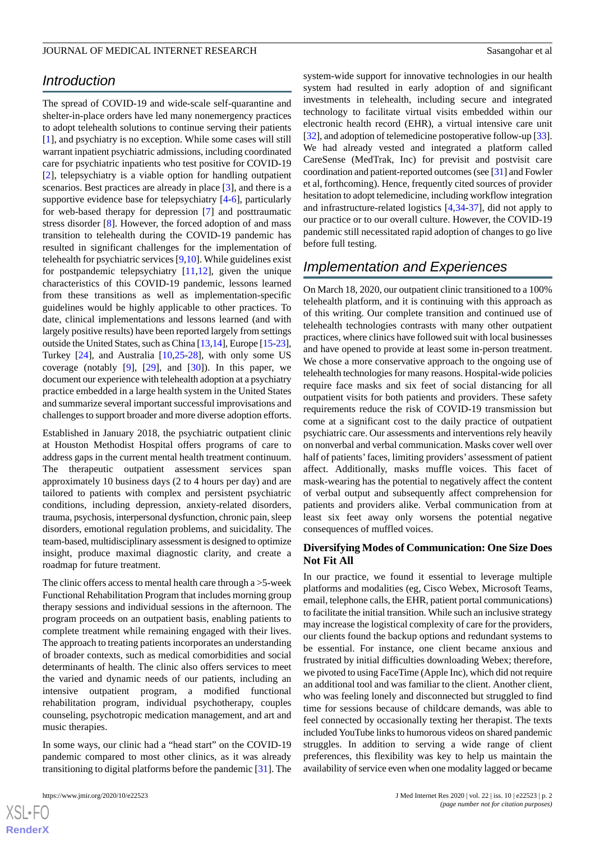# *Introduction*

The spread of COVID-19 and wide-scale self-quarantine and shelter-in-place orders have led many nonemergency practices to adopt telehealth solutions to continue serving their patients [[1\]](#page-6-0), and psychiatry is no exception. While some cases will still warrant inpatient psychiatric admissions, including coordinated care for psychiatric inpatients who test positive for COVID-19 [[2\]](#page-6-1), telepsychiatry is a viable option for handling outpatient scenarios. Best practices are already in place [[3\]](#page-6-2), and there is a supportive evidence base for telepsychiatry [\[4](#page-6-3)-[6\]](#page-6-4), particularly for web-based therapy for depression [[7\]](#page-6-5) and posttraumatic stress disorder [[8\]](#page-6-6). However, the forced adoption of and mass transition to telehealth during the COVID-19 pandemic has resulted in significant challenges for the implementation of telehealth for psychiatric services [\[9](#page-6-7)[,10](#page-6-8)]. While guidelines exist for postpandemic telepsychiatry  $[11,12]$  $[11,12]$  $[11,12]$  $[11,12]$ , given the unique characteristics of this COVID-19 pandemic, lessons learned from these transitions as well as implementation-specific guidelines would be highly applicable to other practices. To date, clinical implementations and lessons learned (and with largely positive results) have been reported largely from settings outside the United States, such as China [\[13](#page-6-11),[14](#page-6-12)], Europe [\[15](#page-6-13)[-23\]](#page-7-0), Turkey [[24\]](#page-7-1), and Australia [\[10](#page-6-8),[25](#page-7-2)[-28](#page-7-3)], with only some US coverage (notably  $[9]$  $[9]$ ,  $[29]$  $[29]$ , and  $[30]$  $[30]$ ). In this paper, we document our experience with telehealth adoption at a psychiatry practice embedded in a large health system in the United States and summarize several important successful improvisations and challenges to support broader and more diverse adoption efforts.

Established in January 2018, the psychiatric outpatient clinic at Houston Methodist Hospital offers programs of care to address gaps in the current mental health treatment continuum. The therapeutic outpatient assessment services span approximately 10 business days (2 to 4 hours per day) and are tailored to patients with complex and persistent psychiatric conditions, including depression, anxiety-related disorders, trauma, psychosis, interpersonal dysfunction, chronic pain, sleep disorders, emotional regulation problems, and suicidality. The team-based, multidisciplinary assessment is designed to optimize insight, produce maximal diagnostic clarity, and create a roadmap for future treatment.

The clinic offers access to mental health care through a >5-week Functional Rehabilitation Program that includes morning group therapy sessions and individual sessions in the afternoon. The program proceeds on an outpatient basis, enabling patients to complete treatment while remaining engaged with their lives. The approach to treating patients incorporates an understanding of broader contexts, such as medical comorbidities and social determinants of health. The clinic also offers services to meet the varied and dynamic needs of our patients, including an intensive outpatient program, a modified functional rehabilitation program, individual psychotherapy, couples counseling, psychotropic medication management, and art and music therapies.

In some ways, our clinic had a "head start" on the COVID-19 pandemic compared to most other clinics, as it was already transitioning to digital platforms before the pandemic [\[31](#page-7-6)]. The system-wide support for innovative technologies in our health system had resulted in early adoption of and significant investments in telehealth, including secure and integrated technology to facilitate virtual visits embedded within our electronic health record (EHR), a virtual intensive care unit [[32\]](#page-7-7), and adoption of telemedicine postoperative follow-up [\[33](#page-7-8)]. We had already vested and integrated a platform called CareSense (MedTrak, Inc) for previsit and postvisit care coordination and patient-reported outcomes (see [[31](#page-7-6)] and Fowler et al, forthcoming). Hence, frequently cited sources of provider hesitation to adopt telemedicine, including workflow integration and infrastructure-related logistics [\[4](#page-6-3),[34-](#page-7-9)[37](#page-7-10)], did not apply to our practice or to our overall culture. However, the COVID-19 pandemic still necessitated rapid adoption of changes to go live before full testing.

# *Implementation and Experiences*

On March 18, 2020, our outpatient clinic transitioned to a 100% telehealth platform, and it is continuing with this approach as of this writing. Our complete transition and continued use of telehealth technologies contrasts with many other outpatient practices, where clinics have followed suit with local businesses and have opened to provide at least some in-person treatment. We chose a more conservative approach to the ongoing use of telehealth technologies for many reasons. Hospital-wide policies require face masks and six feet of social distancing for all outpatient visits for both patients and providers. These safety requirements reduce the risk of COVID-19 transmission but come at a significant cost to the daily practice of outpatient psychiatric care. Our assessments and interventions rely heavily on nonverbal and verbal communication. Masks cover well over half of patients' faces, limiting providers' assessment of patient affect. Additionally, masks muffle voices. This facet of mask-wearing has the potential to negatively affect the content of verbal output and subsequently affect comprehension for patients and providers alike. Verbal communication from at least six feet away only worsens the potential negative consequences of muffled voices.

# **Diversifying Modes of Communication: One Size Does Not Fit All**

In our practice, we found it essential to leverage multiple platforms and modalities (eg, Cisco Webex, Microsoft Teams, email, telephone calls, the EHR, patient portal communications) to facilitate the initial transition. While such an inclusive strategy may increase the logistical complexity of care for the providers, our clients found the backup options and redundant systems to be essential. For instance, one client became anxious and frustrated by initial difficulties downloading Webex; therefore, we pivoted to using FaceTime (Apple Inc), which did not require an additional tool and was familiar to the client. Another client, who was feeling lonely and disconnected but struggled to find time for sessions because of childcare demands, was able to feel connected by occasionally texting her therapist. The texts included YouTube links to humorous videos on shared pandemic struggles. In addition to serving a wide range of client preferences, this flexibility was key to help us maintain the availability of service even when one modality lagged or became

```
XS-FO
RenderX
```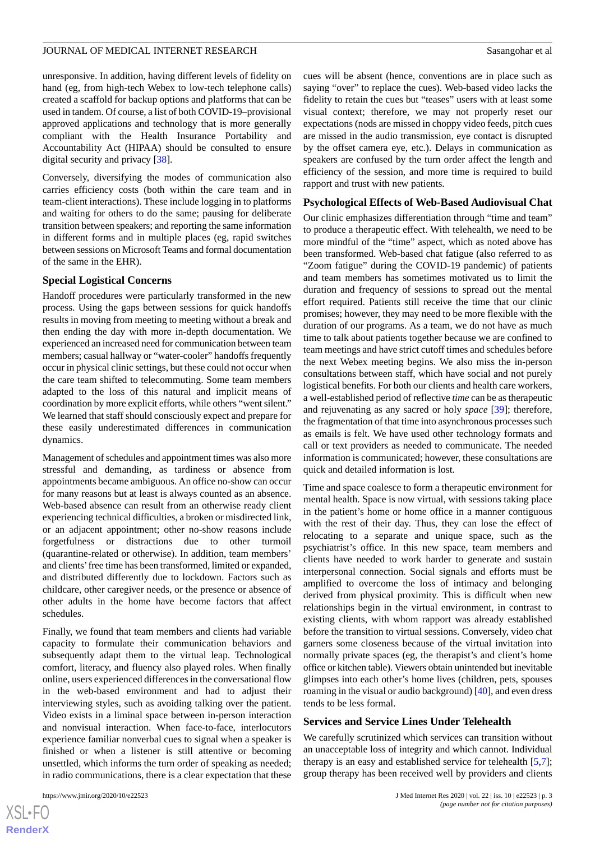unresponsive. In addition, having different levels of fidelity on hand (eg, from high-tech Webex to low-tech telephone calls) created a scaffold for backup options and platforms that can be used in tandem. Of course, a list of both COVID-19–provisional approved applications and technology that is more generally compliant with the Health Insurance Portability and Accountability Act (HIPAA) should be consulted to ensure digital security and privacy [[38\]](#page-7-11).

Conversely, diversifying the modes of communication also carries efficiency costs (both within the care team and in team-client interactions). These include logging in to platforms and waiting for others to do the same; pausing for deliberate transition between speakers; and reporting the same information in different forms and in multiple places (eg, rapid switches between sessions on Microsoft Teams and formal documentation of the same in the EHR).

#### **Special Logistical Concerns**

Handoff procedures were particularly transformed in the new process. Using the gaps between sessions for quick handoffs results in moving from meeting to meeting without a break and then ending the day with more in-depth documentation. We experienced an increased need for communication between team members; casual hallway or "water-cooler" handoffs frequently occur in physical clinic settings, but these could not occur when the care team shifted to telecommuting. Some team members adapted to the loss of this natural and implicit means of coordination by more explicit efforts, while others "went silent." We learned that staff should consciously expect and prepare for these easily underestimated differences in communication dynamics.

Management of schedules and appointment times was also more stressful and demanding, as tardiness or absence from appointments became ambiguous. An office no-show can occur for many reasons but at least is always counted as an absence. Web-based absence can result from an otherwise ready client experiencing technical difficulties, a broken or misdirected link, or an adjacent appointment; other no-show reasons include forgetfulness or distractions due to other turmoil (quarantine-related or otherwise). In addition, team members' and clients'free time has been transformed, limited or expanded, and distributed differently due to lockdown. Factors such as childcare, other caregiver needs, or the presence or absence of other adults in the home have become factors that affect schedules.

Finally, we found that team members and clients had variable capacity to formulate their communication behaviors and subsequently adapt them to the virtual leap. Technological comfort, literacy, and fluency also played roles. When finally online, users experienced differences in the conversational flow in the web-based environment and had to adjust their interviewing styles, such as avoiding talking over the patient. Video exists in a liminal space between in-person interaction and nonvisual interaction. When face-to-face, interlocutors experience familiar nonverbal cues to signal when a speaker is finished or when a listener is still attentive or becoming unsettled, which informs the turn order of speaking as needed; in radio communications, there is a clear expectation that these

cues will be absent (hence, conventions are in place such as saying "over" to replace the cues). Web-based video lacks the fidelity to retain the cues but "teases" users with at least some visual context; therefore, we may not properly reset our expectations (nods are missed in choppy video feeds, pitch cues are missed in the audio transmission, eye contact is disrupted by the offset camera eye, etc.). Delays in communication as speakers are confused by the turn order affect the length and efficiency of the session, and more time is required to build rapport and trust with new patients.

#### **Psychological Effects of Web-Based Audiovisual Chat**

Our clinic emphasizes differentiation through "time and team" to produce a therapeutic effect. With telehealth, we need to be more mindful of the "time" aspect, which as noted above has been transformed. Web-based chat fatigue (also referred to as "Zoom fatigue" during the COVID-19 pandemic) of patients and team members has sometimes motivated us to limit the duration and frequency of sessions to spread out the mental effort required. Patients still receive the time that our clinic promises; however, they may need to be more flexible with the duration of our programs. As a team, we do not have as much time to talk about patients together because we are confined to team meetings and have strict cutoff times and schedules before the next Webex meeting begins. We also miss the in-person consultations between staff, which have social and not purely logistical benefits. For both our clients and health care workers, a well-established period of reflective *time* can be as therapeutic and rejuvenating as any sacred or holy *space* [[39\]](#page-7-12); therefore, the fragmentation of that time into asynchronous processes such as emails is felt. We have used other technology formats and call or text providers as needed to communicate. The needed information is communicated; however, these consultations are quick and detailed information is lost.

Time and space coalesce to form a therapeutic environment for mental health. Space is now virtual, with sessions taking place in the patient's home or home office in a manner contiguous with the rest of their day. Thus, they can lose the effect of relocating to a separate and unique space, such as the psychiatrist's office. In this new space, team members and clients have needed to work harder to generate and sustain interpersonal connection. Social signals and efforts must be amplified to overcome the loss of intimacy and belonging derived from physical proximity. This is difficult when new relationships begin in the virtual environment, in contrast to existing clients, with whom rapport was already established before the transition to virtual sessions. Conversely, video chat garners some closeness because of the virtual invitation into normally private spaces (eg, the therapist's and client's home office or kitchen table). Viewers obtain unintended but inevitable glimpses into each other's home lives (children, pets, spouses roaming in the visual or audio background) [\[40\]](#page-7-13), and even dress tends to be less formal.

# **Services and Service Lines Under Telehealth**

We carefully scrutinized which services can transition without an unacceptable loss of integrity and which cannot. Individual therapy is an easy and established service for telehealth [\[5](#page-6-14),[7\]](#page-6-5); group therapy has been received well by providers and clients

```
XSL•FO
RenderX
```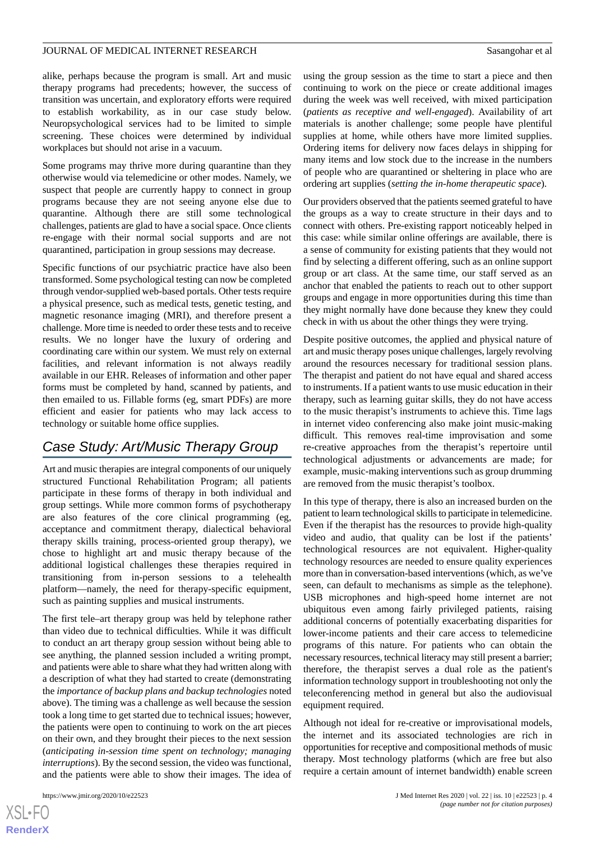alike, perhaps because the program is small. Art and music therapy programs had precedents; however, the success of transition was uncertain, and exploratory efforts were required to establish workability, as in our case study below. Neuropsychological services had to be limited to simple screening. These choices were determined by individual workplaces but should not arise in a vacuum.

Some programs may thrive more during quarantine than they otherwise would via telemedicine or other modes. Namely, we suspect that people are currently happy to connect in group programs because they are not seeing anyone else due to quarantine. Although there are still some technological challenges, patients are glad to have a social space. Once clients re-engage with their normal social supports and are not quarantined, participation in group sessions may decrease.

Specific functions of our psychiatric practice have also been transformed. Some psychological testing can now be completed through vendor-supplied web-based portals. Other tests require a physical presence, such as medical tests, genetic testing, and magnetic resonance imaging (MRI), and therefore present a challenge. More time is needed to order these tests and to receive results. We no longer have the luxury of ordering and coordinating care within our system. We must rely on external facilities, and relevant information is not always readily available in our EHR. Releases of information and other paper forms must be completed by hand, scanned by patients, and then emailed to us. Fillable forms (eg, smart PDFs) are more efficient and easier for patients who may lack access to technology or suitable home office supplies.

# *Case Study: Art/Music Therapy Group*

Art and music therapies are integral components of our uniquely structured Functional Rehabilitation Program; all patients participate in these forms of therapy in both individual and group settings. While more common forms of psychotherapy are also features of the core clinical programming (eg, acceptance and commitment therapy, dialectical behavioral therapy skills training, process-oriented group therapy), we chose to highlight art and music therapy because of the additional logistical challenges these therapies required in transitioning from in-person sessions to a telehealth platform—namely, the need for therapy-specific equipment, such as painting supplies and musical instruments.

The first tele–art therapy group was held by telephone rather than video due to technical difficulties. While it was difficult to conduct an art therapy group session without being able to see anything, the planned session included a writing prompt, and patients were able to share what they had written along with a description of what they had started to create (demonstrating the *importance of backup plans and backup technologies* noted above). The timing was a challenge as well because the session took a long time to get started due to technical issues; however, the patients were open to continuing to work on the art pieces on their own, and they brought their pieces to the next session (*anticipating in-session time spent on technology; managing interruptions*). By the second session, the video was functional, and the patients were able to show their images. The idea of

using the group session as the time to start a piece and then continuing to work on the piece or create additional images during the week was well received, with mixed participation (*patients as receptive and well-engaged*). Availability of art materials is another challenge; some people have plentiful supplies at home, while others have more limited supplies. Ordering items for delivery now faces delays in shipping for many items and low stock due to the increase in the numbers of people who are quarantined or sheltering in place who are ordering art supplies (*setting the in-home therapeutic space*).

Our providers observed that the patients seemed grateful to have the groups as a way to create structure in their days and to connect with others. Pre-existing rapport noticeably helped in this case: while similar online offerings are available, there is a sense of community for existing patients that they would not find by selecting a different offering, such as an online support group or art class. At the same time, our staff served as an anchor that enabled the patients to reach out to other support groups and engage in more opportunities during this time than they might normally have done because they knew they could check in with us about the other things they were trying.

Despite positive outcomes, the applied and physical nature of art and music therapy poses unique challenges, largely revolving around the resources necessary for traditional session plans. The therapist and patient do not have equal and shared access to instruments. If a patient wants to use music education in their therapy, such as learning guitar skills, they do not have access to the music therapist's instruments to achieve this. Time lags in internet video conferencing also make joint music-making difficult. This removes real-time improvisation and some re-creative approaches from the therapist's repertoire until technological adjustments or advancements are made; for example, music-making interventions such as group drumming are removed from the music therapist's toolbox.

In this type of therapy, there is also an increased burden on the patient to learn technological skills to participate in telemedicine. Even if the therapist has the resources to provide high-quality video and audio, that quality can be lost if the patients' technological resources are not equivalent. Higher-quality technology resources are needed to ensure quality experiences more than in conversation-based interventions (which, as we've seen, can default to mechanisms as simple as the telephone). USB microphones and high-speed home internet are not ubiquitous even among fairly privileged patients, raising additional concerns of potentially exacerbating disparities for lower-income patients and their care access to telemedicine programs of this nature. For patients who can obtain the necessary resources, technical literacy may still present a barrier; therefore, the therapist serves a dual role as the patient's information technology support in troubleshooting not only the teleconferencing method in general but also the audiovisual equipment required.

Although not ideal for re-creative or improvisational models, the internet and its associated technologies are rich in opportunities for receptive and compositional methods of music therapy. Most technology platforms (which are free but also require a certain amount of internet bandwidth) enable screen

```
XSL•FO
RenderX
```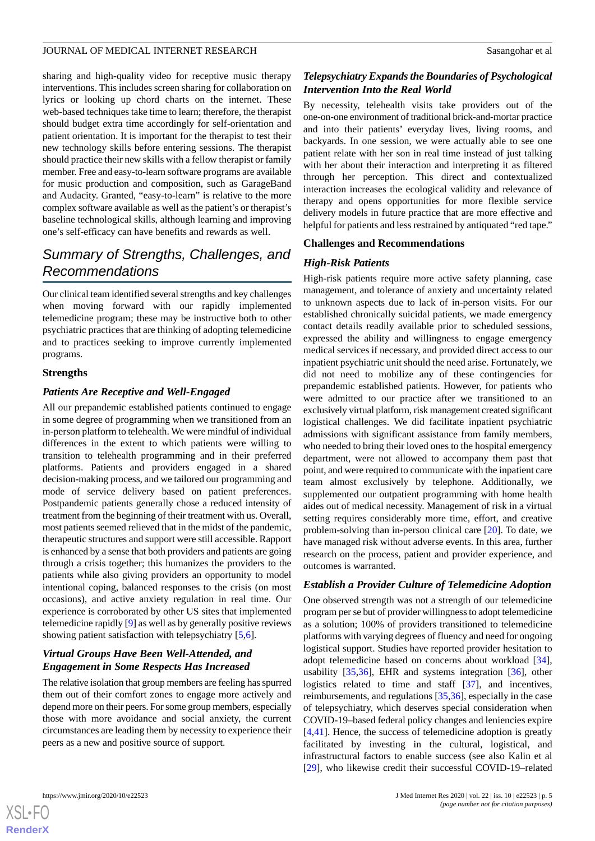sharing and high-quality video for receptive music therapy interventions. This includes screen sharing for collaboration on lyrics or looking up chord charts on the internet. These web-based techniques take time to learn; therefore, the therapist should budget extra time accordingly for self-orientation and patient orientation. It is important for the therapist to test their new technology skills before entering sessions. The therapist should practice their new skills with a fellow therapist or family member. Free and easy-to-learn software programs are available for music production and composition, such as GarageBand and Audacity. Granted, "easy-to-learn" is relative to the more complex software available as well as the patient's or therapist's baseline technological skills, although learning and improving one's self-efficacy can have benefits and rewards as well.

# *Summary of Strengths, Challenges, and Recommendations*

Our clinical team identified several strengths and key challenges when moving forward with our rapidly implemented telemedicine program; these may be instructive both to other psychiatric practices that are thinking of adopting telemedicine and to practices seeking to improve currently implemented programs.

### **Strengths**

# *Patients Are Receptive and Well-Engaged*

All our prepandemic established patients continued to engage in some degree of programming when we transitioned from an in-person platform to telehealth. We were mindful of individual differences in the extent to which patients were willing to transition to telehealth programming and in their preferred platforms. Patients and providers engaged in a shared decision-making process, and we tailored our programming and mode of service delivery based on patient preferences. Postpandemic patients generally chose a reduced intensity of treatment from the beginning of their treatment with us. Overall, most patients seemed relieved that in the midst of the pandemic, therapeutic structures and support were still accessible. Rapport is enhanced by a sense that both providers and patients are going through a crisis together; this humanizes the providers to the patients while also giving providers an opportunity to model intentional coping, balanced responses to the crisis (on most occasions), and active anxiety regulation in real time. Our experience is corroborated by other US sites that implemented telemedicine rapidly [\[9](#page-6-7)] as well as by generally positive reviews showing patient satisfaction with telepsychiatry [\[5,](#page-6-14)[6](#page-6-4)].

# *Virtual Groups Have Been Well-Attended, and Engagement in Some Respects Has Increased*

The relative isolation that group members are feeling has spurred them out of their comfort zones to engage more actively and depend more on their peers. For some group members, especially those with more avoidance and social anxiety, the current circumstances are leading them by necessity to experience their peers as a new and positive source of support.

# *Telepsychiatry Expands the Boundaries of Psychological Intervention Into the Real World*

By necessity, telehealth visits take providers out of the one-on-one environment of traditional brick-and-mortar practice and into their patients' everyday lives, living rooms, and backyards. In one session, we were actually able to see one patient relate with her son in real time instead of just talking with her about their interaction and interpreting it as filtered through her perception. This direct and contextualized interaction increases the ecological validity and relevance of therapy and opens opportunities for more flexible service delivery models in future practice that are more effective and helpful for patients and less restrained by antiquated "red tape."

### **Challenges and Recommendations**

# *High-Risk Patients*

High-risk patients require more active safety planning, case management, and tolerance of anxiety and uncertainty related to unknown aspects due to lack of in-person visits. For our established chronically suicidal patients, we made emergency contact details readily available prior to scheduled sessions, expressed the ability and willingness to engage emergency medical services if necessary, and provided direct access to our inpatient psychiatric unit should the need arise. Fortunately, we did not need to mobilize any of these contingencies for prepandemic established patients. However, for patients who were admitted to our practice after we transitioned to an exclusively virtual platform, risk management created significant logistical challenges. We did facilitate inpatient psychiatric admissions with significant assistance from family members, who needed to bring their loved ones to the hospital emergency department, were not allowed to accompany them past that point, and were required to communicate with the inpatient care team almost exclusively by telephone. Additionally, we supplemented our outpatient programming with home health aides out of medical necessity. Management of risk in a virtual setting requires considerably more time, effort, and creative problem-solving than in-person clinical care [[20\]](#page-7-14). To date, we have managed risk without adverse events. In this area, further research on the process, patient and provider experience, and outcomes is warranted.

# *Establish a Provider Culture of Telemedicine Adoption*

One observed strength was not a strength of our telemedicine program per se but of provider willingness to adopt telemedicine as a solution; 100% of providers transitioned to telemedicine platforms with varying degrees of fluency and need for ongoing logistical support. Studies have reported provider hesitation to adopt telemedicine based on concerns about workload [[34\]](#page-7-9), usability [\[35](#page-7-15),[36\]](#page-7-16), EHR and systems integration [[36\]](#page-7-16), other logistics related to time and staff [\[37](#page-7-10)], and incentives, reimbursements, and regulations [\[35](#page-7-15),[36\]](#page-7-16), especially in the case of telepsychiatry, which deserves special consideration when COVID-19–based federal policy changes and leniencies expire [[4](#page-6-3)[,41](#page-7-17)]. Hence, the success of telemedicine adoption is greatly facilitated by investing in the cultural, logistical, and infrastructural factors to enable success (see also Kalin et al [[29\]](#page-7-4), who likewise credit their successful COVID-19–related

```
XS-FO
RenderX
```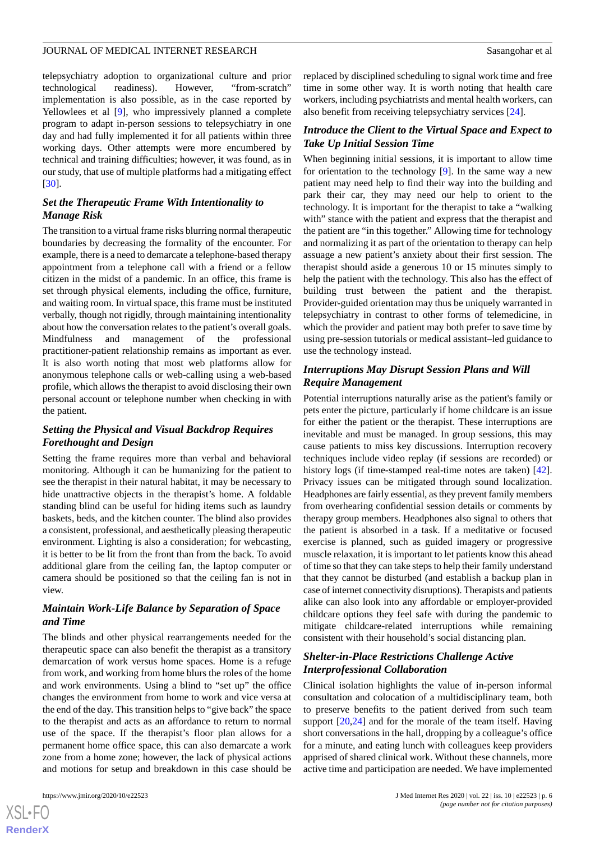telepsychiatry adoption to organizational culture and prior technological readiness). However, "from-scratch" implementation is also possible, as in the case reported by Yellowlees et al [[9\]](#page-6-7), who impressively planned a complete program to adapt in-person sessions to telepsychiatry in one day and had fully implemented it for all patients within three working days. Other attempts were more encumbered by technical and training difficulties; however, it was found, as in our study, that use of multiple platforms had a mitigating effect [[30\]](#page-7-5).

# *Set the Therapeutic Frame With Intentionality to Manage Risk*

The transition to a virtual frame risks blurring normal therapeutic boundaries by decreasing the formality of the encounter. For example, there is a need to demarcate a telephone-based therapy appointment from a telephone call with a friend or a fellow citizen in the midst of a pandemic. In an office, this frame is set through physical elements, including the office, furniture, and waiting room. In virtual space, this frame must be instituted verbally, though not rigidly, through maintaining intentionality about how the conversation relates to the patient's overall goals. Mindfulness and management of the professional practitioner-patient relationship remains as important as ever. It is also worth noting that most web platforms allow for anonymous telephone calls or web-calling using a web-based profile, which allows the therapist to avoid disclosing their own personal account or telephone number when checking in with the patient.

# *Setting the Physical and Visual Backdrop Requires Forethought and Design*

Setting the frame requires more than verbal and behavioral monitoring. Although it can be humanizing for the patient to see the therapist in their natural habitat, it may be necessary to hide unattractive objects in the therapist's home. A foldable standing blind can be useful for hiding items such as laundry baskets, beds, and the kitchen counter. The blind also provides a consistent, professional, and aesthetically pleasing therapeutic environment. Lighting is also a consideration; for webcasting, it is better to be lit from the front than from the back. To avoid additional glare from the ceiling fan, the laptop computer or camera should be positioned so that the ceiling fan is not in view.

# *Maintain Work-Life Balance by Separation of Space and Time*

The blinds and other physical rearrangements needed for the therapeutic space can also benefit the therapist as a transitory demarcation of work versus home spaces. Home is a refuge from work, and working from home blurs the roles of the home and work environments. Using a blind to "set up" the office changes the environment from home to work and vice versa at the end of the day. This transition helps to "give back" the space to the therapist and acts as an affordance to return to normal use of the space. If the therapist's floor plan allows for a permanent home office space, this can also demarcate a work zone from a home zone; however, the lack of physical actions and motions for setup and breakdown in this case should be

replaced by disciplined scheduling to signal work time and free time in some other way. It is worth noting that health care workers, including psychiatrists and mental health workers, can also benefit from receiving telepsychiatry services [\[24](#page-7-1)].

### *Introduce the Client to the Virtual Space and Expect to Take Up Initial Session Time*

When beginning initial sessions, it is important to allow time for orientation to the technology [\[9](#page-6-7)]. In the same way a new patient may need help to find their way into the building and park their car, they may need our help to orient to the technology. It is important for the therapist to take a "walking with" stance with the patient and express that the therapist and the patient are "in this together." Allowing time for technology and normalizing it as part of the orientation to therapy can help assuage a new patient's anxiety about their first session. The therapist should aside a generous 10 or 15 minutes simply to help the patient with the technology. This also has the effect of building trust between the patient and the therapist. Provider-guided orientation may thus be uniquely warranted in telepsychiatry in contrast to other forms of telemedicine, in which the provider and patient may both prefer to save time by using pre-session tutorials or medical assistant–led guidance to use the technology instead.

# *Interruptions May Disrupt Session Plans and Will Require Management*

Potential interruptions naturally arise as the patient's family or pets enter the picture, particularly if home childcare is an issue for either the patient or the therapist. These interruptions are inevitable and must be managed. In group sessions, this may cause patients to miss key discussions. Interruption recovery techniques include video replay (if sessions are recorded) or history logs (if time-stamped real-time notes are taken) [[42\]](#page-7-18). Privacy issues can be mitigated through sound localization. Headphones are fairly essential, as they prevent family members from overhearing confidential session details or comments by therapy group members. Headphones also signal to others that the patient is absorbed in a task. If a meditative or focused exercise is planned, such as guided imagery or progressive muscle relaxation, it is important to let patients know this ahead of time so that they can take steps to help their family understand that they cannot be disturbed (and establish a backup plan in case of internet connectivity disruptions). Therapists and patients alike can also look into any affordable or employer-provided childcare options they feel safe with during the pandemic to mitigate childcare-related interruptions while remaining consistent with their household's social distancing plan.

# *Shelter-in-Place Restrictions Challenge Active Interprofessional Collaboration*

Clinical isolation highlights the value of in-person informal consultation and colocation of a multidisciplinary team, both to preserve benefits to the patient derived from such team support [\[20](#page-7-14),[24\]](#page-7-1) and for the morale of the team itself. Having short conversations in the hall, dropping by a colleague's office for a minute, and eating lunch with colleagues keep providers apprised of shared clinical work. Without these channels, more active time and participation are needed. We have implemented

 $XS$ -FO **[RenderX](http://www.renderx.com/)**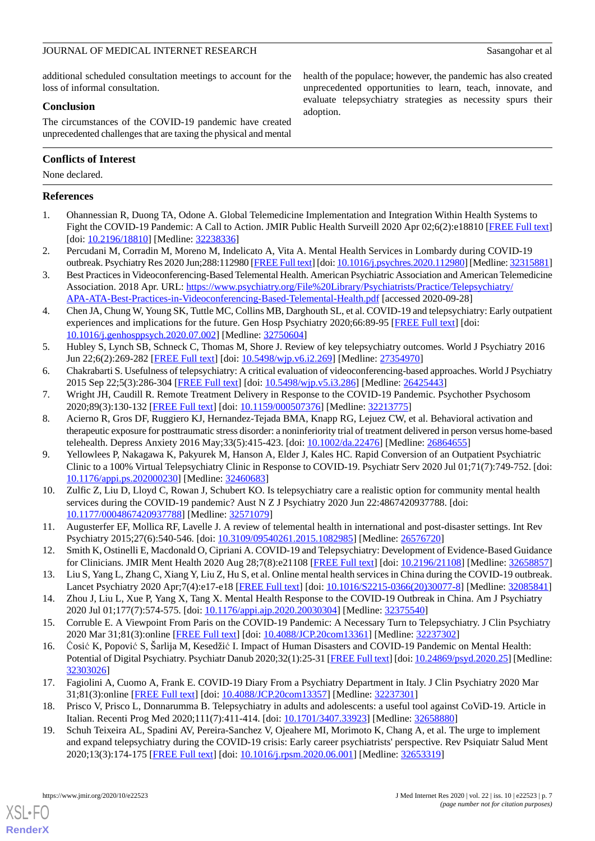health of the populace; however, the pandemic has also created unprecedented opportunities to learn, teach, innovate, and evaluate telepsychiatry strategies as necessity spurs their

additional scheduled consultation meetings to account for the loss of informal consultation.

# **Conclusion**

The circumstances of the COVID-19 pandemic have created unprecedented challenges that are taxing the physical and mental

# **Conflicts of Interest**

None declared.

# <span id="page-6-0"></span>**References**

<span id="page-6-1"></span>1. Ohannessian R, Duong TA, Odone A. Global Telemedicine Implementation and Integration Within Health Systems to Fight the COVID-19 Pandemic: A Call to Action. JMIR Public Health Surveill 2020 Apr 02;6(2):e18810 [\[FREE Full text](https://publichealth.jmir.org/2020/2/e18810/)] [doi: [10.2196/18810](http://dx.doi.org/10.2196/18810)] [Medline: [32238336\]](http://www.ncbi.nlm.nih.gov/entrez/query.fcgi?cmd=Retrieve&db=PubMed&list_uids=32238336&dopt=Abstract)

adoption.

- <span id="page-6-2"></span>2. Percudani M, Corradin M, Moreno M, Indelicato A, Vita A. Mental Health Services in Lombardy during COVID-19 outbreak. Psychiatry Res 2020 Jun;288:112980 [\[FREE Full text](http://europepmc.org/abstract/MED/32315881)] [doi: [10.1016/j.psychres.2020.112980\]](http://dx.doi.org/10.1016/j.psychres.2020.112980) [Medline: [32315881\]](http://www.ncbi.nlm.nih.gov/entrez/query.fcgi?cmd=Retrieve&db=PubMed&list_uids=32315881&dopt=Abstract)
- <span id="page-6-3"></span>3. Best Practices in Videoconferencing-Based Telemental Health. American Psychiatric Association and American Telemedicine Association. 2018 Apr. URL: [https://www.psychiatry.org/File%20Library/Psychiatrists/Practice/Telepsychiatry/](https://www.psychiatry.org/File%20Library/Psychiatrists/Practice/Telepsychiatry/APA-ATA-Best-Practices-in-Videoconferencing-Based-Telemental-Health.pdf) [APA-ATA-Best-Practices-in-Videoconferencing-Based-Telemental-Health.pdf](https://www.psychiatry.org/File%20Library/Psychiatrists/Practice/Telepsychiatry/APA-ATA-Best-Practices-in-Videoconferencing-Based-Telemental-Health.pdf) [accessed 2020-09-28]
- <span id="page-6-14"></span>4. Chen JA, Chung W, Young SK, Tuttle MC, Collins MB, Darghouth SL, et al. COVID-19 and telepsychiatry: Early outpatient experiences and implications for the future. Gen Hosp Psychiatry 2020;66:89-95 [[FREE Full text](http://europepmc.org/abstract/MED/32750604)] [doi: [10.1016/j.genhosppsych.2020.07.002](http://dx.doi.org/10.1016/j.genhosppsych.2020.07.002)] [Medline: [32750604](http://www.ncbi.nlm.nih.gov/entrez/query.fcgi?cmd=Retrieve&db=PubMed&list_uids=32750604&dopt=Abstract)]
- <span id="page-6-5"></span><span id="page-6-4"></span>5. Hubley S, Lynch SB, Schneck C, Thomas M, Shore J. Review of key telepsychiatry outcomes. World J Psychiatry 2016 Jun 22;6(2):269-282 [\[FREE Full text\]](https://www.wjgnet.com/2220-3206/full/v6/i2/269.htm) [doi: [10.5498/wjp.v6.i2.269](http://dx.doi.org/10.5498/wjp.v6.i2.269)] [Medline: [27354970](http://www.ncbi.nlm.nih.gov/entrez/query.fcgi?cmd=Retrieve&db=PubMed&list_uids=27354970&dopt=Abstract)]
- <span id="page-6-6"></span>6. Chakrabarti S. Usefulness of telepsychiatry: A critical evaluation of videoconferencing-based approaches. World J Psychiatry 2015 Sep 22;5(3):286-304 [[FREE Full text](https://www.wjgnet.com/2220-3206/full/v5/i3/286.htm)] [doi: [10.5498/wjp.v5.i3.286](http://dx.doi.org/10.5498/wjp.v5.i3.286)] [Medline: [26425443\]](http://www.ncbi.nlm.nih.gov/entrez/query.fcgi?cmd=Retrieve&db=PubMed&list_uids=26425443&dopt=Abstract)
- 7. Wright JH, Caudill R. Remote Treatment Delivery in Response to the COVID-19 Pandemic. Psychother Psychosom 2020;89(3):130-132 [[FREE Full text](https://www.karger.com?DOI=10.1159/000507376)] [doi: [10.1159/000507376\]](http://dx.doi.org/10.1159/000507376) [Medline: [32213775\]](http://www.ncbi.nlm.nih.gov/entrez/query.fcgi?cmd=Retrieve&db=PubMed&list_uids=32213775&dopt=Abstract)
- <span id="page-6-7"></span>8. Acierno R, Gros DF, Ruggiero KJ, Hernandez-Tejada BMA, Knapp RG, Lejuez CW, et al. Behavioral activation and therapeutic exposure for posttraumatic stress disorder: a noninferiority trial of treatment delivered in person versus home-based telehealth. Depress Anxiety 2016 May;33(5):415-423. [doi: [10.1002/da.22476\]](http://dx.doi.org/10.1002/da.22476) [Medline: [26864655\]](http://www.ncbi.nlm.nih.gov/entrez/query.fcgi?cmd=Retrieve&db=PubMed&list_uids=26864655&dopt=Abstract)
- <span id="page-6-8"></span>9. Yellowlees P, Nakagawa K, Pakyurek M, Hanson A, Elder J, Kales HC. Rapid Conversion of an Outpatient Psychiatric Clinic to a 100% Virtual Telepsychiatry Clinic in Response to COVID-19. Psychiatr Serv 2020 Jul 01;71(7):749-752. [doi: [10.1176/appi.ps.202000230\]](http://dx.doi.org/10.1176/appi.ps.202000230) [Medline: [32460683\]](http://www.ncbi.nlm.nih.gov/entrez/query.fcgi?cmd=Retrieve&db=PubMed&list_uids=32460683&dopt=Abstract)
- <span id="page-6-10"></span><span id="page-6-9"></span>10. Zulfic Z, Liu D, Lloyd C, Rowan J, Schubert KO. Is telepsychiatry care a realistic option for community mental health services during the COVID-19 pandemic? Aust N Z J Psychiatry 2020 Jun 22:4867420937788. [doi: [10.1177/0004867420937788\]](http://dx.doi.org/10.1177/0004867420937788) [Medline: [32571079\]](http://www.ncbi.nlm.nih.gov/entrez/query.fcgi?cmd=Retrieve&db=PubMed&list_uids=32571079&dopt=Abstract)
- <span id="page-6-11"></span>11. Augusterfer EF, Mollica RF, Lavelle J. A review of telemental health in international and post-disaster settings. Int Rev Psychiatry 2015;27(6):540-546. [doi: [10.3109/09540261.2015.1082985\]](http://dx.doi.org/10.3109/09540261.2015.1082985) [Medline: [26576720](http://www.ncbi.nlm.nih.gov/entrez/query.fcgi?cmd=Retrieve&db=PubMed&list_uids=26576720&dopt=Abstract)]
- <span id="page-6-13"></span><span id="page-6-12"></span>12. Smith K, Ostinelli E, Macdonald O, Cipriani A. COVID-19 and Telepsychiatry: Development of Evidence-Based Guidance for Clinicians. JMIR Ment Health 2020 Aug 28;7(8):e21108 [[FREE Full text](https://mental.jmir.org/2020/8/e21108/)] [doi: [10.2196/21108\]](http://dx.doi.org/10.2196/21108) [Medline: [32658857](http://www.ncbi.nlm.nih.gov/entrez/query.fcgi?cmd=Retrieve&db=PubMed&list_uids=32658857&dopt=Abstract)]
- 13. Liu S, Yang L, Zhang C, Xiang Y, Liu Z, Hu S, et al. Online mental health services in China during the COVID-19 outbreak. Lancet Psychiatry 2020 Apr;7(4):e17-e18 [\[FREE Full text\]](http://europepmc.org/abstract/MED/32085841) [doi: [10.1016/S2215-0366\(20\)30077-8](http://dx.doi.org/10.1016/S2215-0366(20)30077-8)] [Medline: [32085841\]](http://www.ncbi.nlm.nih.gov/entrez/query.fcgi?cmd=Retrieve&db=PubMed&list_uids=32085841&dopt=Abstract)
- 14. Zhou J, Liu L, Xue P, Yang X, Tang X. Mental Health Response to the COVID-19 Outbreak in China. Am J Psychiatry 2020 Jul 01;177(7):574-575. [doi: [10.1176/appi.ajp.2020.20030304](http://dx.doi.org/10.1176/appi.ajp.2020.20030304)] [Medline: [32375540](http://www.ncbi.nlm.nih.gov/entrez/query.fcgi?cmd=Retrieve&db=PubMed&list_uids=32375540&dopt=Abstract)]
- 15. Corruble E. A Viewpoint From Paris on the COVID-19 Pandemic: A Necessary Turn to Telepsychiatry. J Clin Psychiatry 2020 Mar 31;81(3):online [\[FREE Full text\]](http://www.psychiatrist.com/JCP/article/Pages/a-viewpoint-from-paris-on-covid.aspx) [doi: [10.4088/JCP.20com13361\]](http://dx.doi.org/10.4088/JCP.20com13361) [Medline: [32237302\]](http://www.ncbi.nlm.nih.gov/entrez/query.fcgi?cmd=Retrieve&db=PubMed&list_uids=32237302&dopt=Abstract)
- 16. Ćosić K, Popović S, Šarlija M, Kesedžić I. Impact of Human Disasters and COVID-19 Pandemic on Mental Health: Potential of Digital Psychiatry. Psychiatr Danub 2020;32(1):25-31 [[FREE Full text\]](http://www.psychiatria-danubina.com/UserDocsImages/pdf/dnb_vol32_no1/dnb_vol32_no1_25.pdf) [doi: [10.24869/psyd.2020.25](http://dx.doi.org/10.24869/psyd.2020.25)] [Medline: [32303026](http://www.ncbi.nlm.nih.gov/entrez/query.fcgi?cmd=Retrieve&db=PubMed&list_uids=32303026&dopt=Abstract)]
- 17. Fagiolini A, Cuomo A, Frank E. COVID-19 Diary From a Psychiatry Department in Italy. J Clin Psychiatry 2020 Mar 31;81(3):online [[FREE Full text\]](http://www.psychiatrist.com/JCP/article/Pages/covid-diary-from-a-psychiatry-department-in-italy.aspx) [doi: [10.4088/JCP.20com13357](http://dx.doi.org/10.4088/JCP.20com13357)] [Medline: [32237301\]](http://www.ncbi.nlm.nih.gov/entrez/query.fcgi?cmd=Retrieve&db=PubMed&list_uids=32237301&dopt=Abstract)
- 18. Prisco V, Prisco L, Donnarumma B. Telepsychiatry in adults and adolescents: a useful tool against CoViD-19. Article in Italian. Recenti Prog Med 2020;111(7):411-414. [doi: [10.1701/3407.33923](http://dx.doi.org/10.1701/3407.33923)] [Medline: [32658880\]](http://www.ncbi.nlm.nih.gov/entrez/query.fcgi?cmd=Retrieve&db=PubMed&list_uids=32658880&dopt=Abstract)
- 19. Schuh Teixeira AL, Spadini AV, Pereira-Sanchez V, Ojeahere MI, Morimoto K, Chang A, et al. The urge to implement and expand telepsychiatry during the COVID-19 crisis: Early career psychiatrists' perspective. Rev Psiquiatr Salud Ment 2020;13(3):174-175 [[FREE Full text](http://europepmc.org/abstract/MED/32653319)] [doi: [10.1016/j.rpsm.2020.06.001\]](http://dx.doi.org/10.1016/j.rpsm.2020.06.001) [Medline: [32653319](http://www.ncbi.nlm.nih.gov/entrez/query.fcgi?cmd=Retrieve&db=PubMed&list_uids=32653319&dopt=Abstract)]

[XSL](http://www.w3.org/Style/XSL)•FO **[RenderX](http://www.renderx.com/)**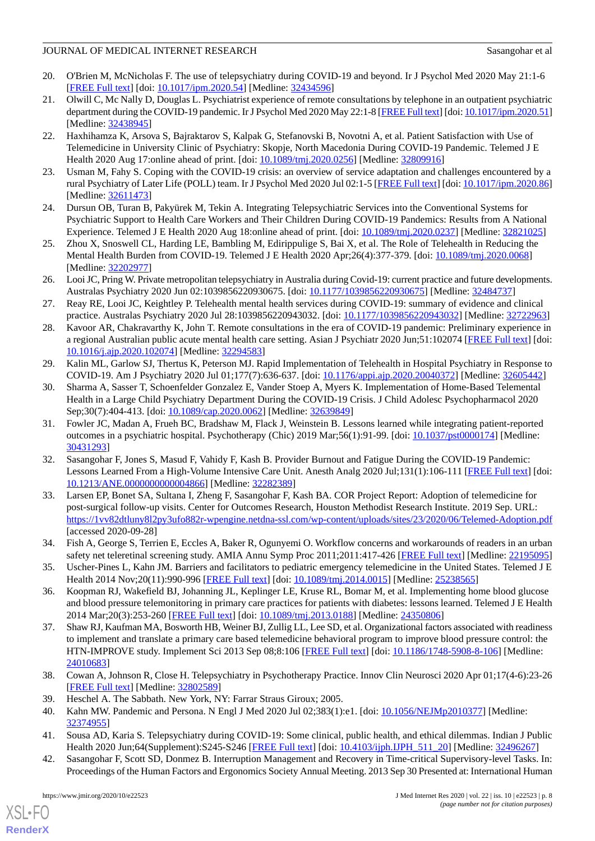- <span id="page-7-14"></span>20. O'Brien M, McNicholas F. The use of telepsychiatry during COVID-19 and beyond. Ir J Psychol Med 2020 May 21:1-6 [[FREE Full text](http://europepmc.org/abstract/MED/32434596)] [doi: [10.1017/ipm.2020.54](http://dx.doi.org/10.1017/ipm.2020.54)] [Medline: [32434596](http://www.ncbi.nlm.nih.gov/entrez/query.fcgi?cmd=Retrieve&db=PubMed&list_uids=32434596&dopt=Abstract)]
- 21. Olwill C, Mc Nally D, Douglas L. Psychiatrist experience of remote consultations by telephone in an outpatient psychiatric department during the COVID-19 pandemic. Ir J Psychol Med 2020 May 22:1-8 [[FREE Full text\]](http://europepmc.org/abstract/MED/32438945) [doi: [10.1017/ipm.2020.51\]](http://dx.doi.org/10.1017/ipm.2020.51) [Medline: [32438945](http://www.ncbi.nlm.nih.gov/entrez/query.fcgi?cmd=Retrieve&db=PubMed&list_uids=32438945&dopt=Abstract)]
- 22. Haxhihamza K, Arsova S, Bajraktarov S, Kalpak G, Stefanovski B, Novotni A, et al. Patient Satisfaction with Use of Telemedicine in University Clinic of Psychiatry: Skopje, North Macedonia During COVID-19 Pandemic. Telemed J E Health 2020 Aug 17:online ahead of print. [doi: [10.1089/tmj.2020.0256\]](http://dx.doi.org/10.1089/tmj.2020.0256) [Medline: [32809916\]](http://www.ncbi.nlm.nih.gov/entrez/query.fcgi?cmd=Retrieve&db=PubMed&list_uids=32809916&dopt=Abstract)
- <span id="page-7-1"></span><span id="page-7-0"></span>23. Usman M, Fahy S. Coping with the COVID-19 crisis: an overview of service adaptation and challenges encountered by a rural Psychiatry of Later Life (POLL) team. Ir J Psychol Med 2020 Jul 02:1-5 [[FREE Full text](http://europepmc.org/abstract/MED/32611473)] [doi: [10.1017/ipm.2020.86](http://dx.doi.org/10.1017/ipm.2020.86)] [Medline: [32611473](http://www.ncbi.nlm.nih.gov/entrez/query.fcgi?cmd=Retrieve&db=PubMed&list_uids=32611473&dopt=Abstract)]
- <span id="page-7-2"></span>24. Dursun OB, Turan B, Pakyürek M, Tekin A. Integrating Telepsychiatric Services into the Conventional Systems for Psychiatric Support to Health Care Workers and Their Children During COVID-19 Pandemics: Results from A National Experience. Telemed J E Health 2020 Aug 18:online ahead of print. [doi: [10.1089/tmj.2020.0237\]](http://dx.doi.org/10.1089/tmj.2020.0237) [Medline: [32821025](http://www.ncbi.nlm.nih.gov/entrez/query.fcgi?cmd=Retrieve&db=PubMed&list_uids=32821025&dopt=Abstract)]
- 25. Zhou X, Snoswell CL, Harding LE, Bambling M, Edirippulige S, Bai X, et al. The Role of Telehealth in Reducing the Mental Health Burden from COVID-19. Telemed J E Health 2020 Apr;26(4):377-379. [doi: [10.1089/tmj.2020.0068](http://dx.doi.org/10.1089/tmj.2020.0068)] [Medline: [32202977](http://www.ncbi.nlm.nih.gov/entrez/query.fcgi?cmd=Retrieve&db=PubMed&list_uids=32202977&dopt=Abstract)]
- 26. Looi JC, Pring W. Private metropolitan telepsychiatry in Australia during Covid-19: current practice and future developments. Australas Psychiatry 2020 Jun 02:1039856220930675. [doi: [10.1177/1039856220930675\]](http://dx.doi.org/10.1177/1039856220930675) [Medline: [32484737\]](http://www.ncbi.nlm.nih.gov/entrez/query.fcgi?cmd=Retrieve&db=PubMed&list_uids=32484737&dopt=Abstract)
- <span id="page-7-3"></span>27. Reay RE, Looi JC, Keightley P. Telehealth mental health services during COVID-19: summary of evidence and clinical practice. Australas Psychiatry 2020 Jul 28:1039856220943032. [doi: [10.1177/1039856220943032](http://dx.doi.org/10.1177/1039856220943032)] [Medline: [32722963](http://www.ncbi.nlm.nih.gov/entrez/query.fcgi?cmd=Retrieve&db=PubMed&list_uids=32722963&dopt=Abstract)]
- <span id="page-7-4"></span>28. Kavoor AR, Chakravarthy K, John T. Remote consultations in the era of COVID-19 pandemic: Preliminary experience in a regional Australian public acute mental health care setting. Asian J Psychiatr 2020 Jun;51:102074 [\[FREE Full text](http://europepmc.org/abstract/MED/32294583)] [doi: [10.1016/j.ajp.2020.102074](http://dx.doi.org/10.1016/j.ajp.2020.102074)] [Medline: [32294583](http://www.ncbi.nlm.nih.gov/entrez/query.fcgi?cmd=Retrieve&db=PubMed&list_uids=32294583&dopt=Abstract)]
- <span id="page-7-5"></span>29. Kalin ML, Garlow SJ, Thertus K, Peterson MJ. Rapid Implementation of Telehealth in Hospital Psychiatry in Response to COVID-19. Am J Psychiatry 2020 Jul 01;177(7):636-637. [doi: [10.1176/appi.ajp.2020.20040372\]](http://dx.doi.org/10.1176/appi.ajp.2020.20040372) [Medline: [32605442](http://www.ncbi.nlm.nih.gov/entrez/query.fcgi?cmd=Retrieve&db=PubMed&list_uids=32605442&dopt=Abstract)]
- <span id="page-7-6"></span>30. Sharma A, Sasser T, Schoenfelder Gonzalez E, Vander Stoep A, Myers K. Implementation of Home-Based Telemental Health in a Large Child Psychiatry Department During the COVID-19 Crisis. J Child Adolesc Psychopharmacol 2020 Sep;30(7):404-413. [doi: [10.1089/cap.2020.0062\]](http://dx.doi.org/10.1089/cap.2020.0062) [Medline: [32639849](http://www.ncbi.nlm.nih.gov/entrez/query.fcgi?cmd=Retrieve&db=PubMed&list_uids=32639849&dopt=Abstract)]
- <span id="page-7-7"></span>31. Fowler JC, Madan A, Frueh BC, Bradshaw M, Flack J, Weinstein B. Lessons learned while integrating patient-reported outcomes in a psychiatric hospital. Psychotherapy (Chic) 2019 Mar;56(1):91-99. [doi: [10.1037/pst0000174](http://dx.doi.org/10.1037/pst0000174)] [Medline: [30431293](http://www.ncbi.nlm.nih.gov/entrez/query.fcgi?cmd=Retrieve&db=PubMed&list_uids=30431293&dopt=Abstract)]
- <span id="page-7-8"></span>32. Sasangohar F, Jones S, Masud F, Vahidy F, Kash B. Provider Burnout and Fatigue During the COVID-19 Pandemic: Lessons Learned From a High-Volume Intensive Care Unit. Anesth Analg 2020 Jul;131(1):106-111 [\[FREE Full text](http://europepmc.org/abstract/MED/32282389)] [doi: [10.1213/ANE.0000000000004866\]](http://dx.doi.org/10.1213/ANE.0000000000004866) [Medline: [32282389\]](http://www.ncbi.nlm.nih.gov/entrez/query.fcgi?cmd=Retrieve&db=PubMed&list_uids=32282389&dopt=Abstract)
- <span id="page-7-15"></span><span id="page-7-9"></span>33. Larsen EP, Bonet SA, Sultana I, Zheng F, Sasangohar F, Kash BA. COR Project Report: Adoption of telemedicine for post-surgical follow-up visits. Center for Outcomes Research, Houston Methodist Research Institute. 2019 Sep. URL: <https://1vv82dtluny8l2py3ufo882r-wpengine.netdna-ssl.com/wp-content/uploads/sites/23/2020/06/Telemed-Adoption.pdf> [accessed 2020-09-28]
- <span id="page-7-16"></span>34. Fish A, George S, Terrien E, Eccles A, Baker R, Ogunyemi O. Workflow concerns and workarounds of readers in an urban safety net teleretinal screening study. AMIA Annu Symp Proc 2011;2011:417-426 [[FREE Full text\]](http://europepmc.org/abstract/MED/22195095) [Medline: [22195095](http://www.ncbi.nlm.nih.gov/entrez/query.fcgi?cmd=Retrieve&db=PubMed&list_uids=22195095&dopt=Abstract)]
- <span id="page-7-10"></span>35. Uscher-Pines L, Kahn JM. Barriers and facilitators to pediatric emergency telemedicine in the United States. Telemed J E Health 2014 Nov; 20(11): 990-996 [[FREE Full text](http://europepmc.org/abstract/MED/25238565)] [doi: 10.1089/tmj. 2014.0015] [Medline: [25238565\]](http://www.ncbi.nlm.nih.gov/entrez/query.fcgi?cmd=Retrieve&db=PubMed&list_uids=25238565&dopt=Abstract)
- <span id="page-7-11"></span>36. Koopman RJ, Wakefield BJ, Johanning JL, Keplinger LE, Kruse RL, Bomar M, et al. Implementing home blood glucose and blood pressure telemonitoring in primary care practices for patients with diabetes: lessons learned. Telemed J E Health 2014 Mar;20(3):253-260 [\[FREE Full text](http://europepmc.org/abstract/MED/24350806)] [doi: [10.1089/tmj.2013.0188](http://dx.doi.org/10.1089/tmj.2013.0188)] [Medline: [24350806](http://www.ncbi.nlm.nih.gov/entrez/query.fcgi?cmd=Retrieve&db=PubMed&list_uids=24350806&dopt=Abstract)]
- <span id="page-7-13"></span><span id="page-7-12"></span>37. Shaw RJ, Kaufman MA, Bosworth HB, Weiner BJ, Zullig LL, Lee SD, et al. Organizational factors associated with readiness to implement and translate a primary care based telemedicine behavioral program to improve blood pressure control: the HTN-IMPROVE study. Implement Sci 2013 Sep 08;8:106 [[FREE Full text\]](https://implementationscience.biomedcentral.com/articles/10.1186/1748-5908-8-106) [doi: [10.1186/1748-5908-8-106](http://dx.doi.org/10.1186/1748-5908-8-106)] [Medline: [24010683](http://www.ncbi.nlm.nih.gov/entrez/query.fcgi?cmd=Retrieve&db=PubMed&list_uids=24010683&dopt=Abstract)]
- <span id="page-7-18"></span><span id="page-7-17"></span>38. Cowan A, Johnson R, Close H. Telepsychiatry in Psychotherapy Practice. Innov Clin Neurosci 2020 Apr 01;17(4-6):23-26 [[FREE Full text](http://europepmc.org/abstract/MED/32802589)] [Medline: [32802589](http://www.ncbi.nlm.nih.gov/entrez/query.fcgi?cmd=Retrieve&db=PubMed&list_uids=32802589&dopt=Abstract)]
- 39. Heschel A. The Sabbath. New York, NY: Farrar Straus Giroux; 2005.
- 40. Kahn MW. Pandemic and Persona. N Engl J Med 2020 Jul 02;383(1):e1. [doi: [10.1056/NEJMp2010377\]](http://dx.doi.org/10.1056/NEJMp2010377) [Medline: [32374955](http://www.ncbi.nlm.nih.gov/entrez/query.fcgi?cmd=Retrieve&db=PubMed&list_uids=32374955&dopt=Abstract)]
- 41. Sousa AD, Karia S. Telepsychiatry during COVID-19: Some clinical, public health, and ethical dilemmas. Indian J Public Health 2020 Jun;64(Supplement):S245-S246 [\[FREE Full text\]](http://www.ijph.in/article.asp?issn=0019-557X;year=2020;volume=64;issue=6;spage=245;epage=246;aulast=Sousa) [doi: [10.4103/ijph.IJPH\\_511\\_20](http://dx.doi.org/10.4103/ijph.IJPH_511_20)] [Medline: [32496267](http://www.ncbi.nlm.nih.gov/entrez/query.fcgi?cmd=Retrieve&db=PubMed&list_uids=32496267&dopt=Abstract)]
- 42. Sasangohar F, Scott SD, Donmez B. Interruption Management and Recovery in Time-critical Supervisory-level Tasks. In: Proceedings of the Human Factors and Ergonomics Society Annual Meeting. 2013 Sep 30 Presented at: International Human

[XSL](http://www.w3.org/Style/XSL)•FO **[RenderX](http://www.renderx.com/)**